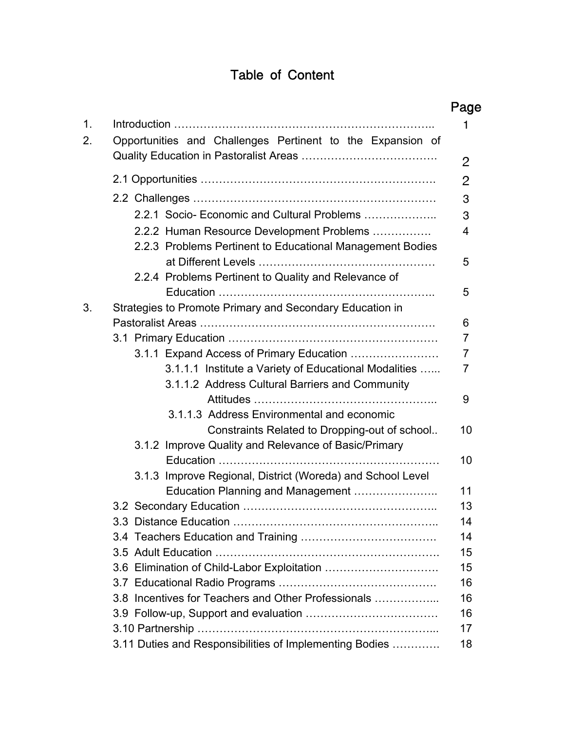# Table of Content

|    | Opportunities and Challenges Pertinent to the Expansion of                                            |
|----|-------------------------------------------------------------------------------------------------------|
|    |                                                                                                       |
|    |                                                                                                       |
|    | 2.2.1 Socio- Economic and Cultural Problems                                                           |
|    | 2.2.2 Human Resource Development Problems                                                             |
|    | 2.2.3 Problems Pertinent to Educational Management Bodies                                             |
|    |                                                                                                       |
|    | 2.2.4 Problems Pertinent to Quality and Relevance of                                                  |
|    |                                                                                                       |
| 3. | Strategies to Promote Primary and Secondary Education in                                              |
|    |                                                                                                       |
|    |                                                                                                       |
|    | 3.1.1 Expand Access of Primary Education                                                              |
|    | 3.1.1.1 Institute a Variety of Educational Modalities                                                 |
|    | 3.1.1.2 Address Cultural Barriers and Community                                                       |
|    |                                                                                                       |
|    | 3.1.1.3 Address Environmental and economic                                                            |
|    | Constraints Related to Dropping-out of school<br>3.1.2 Improve Quality and Relevance of Basic/Primary |
|    |                                                                                                       |
|    | 3.1.3 Improve Regional, District (Woreda) and School Level                                            |
|    | Education Planning and Management                                                                     |
|    |                                                                                                       |
|    |                                                                                                       |
|    |                                                                                                       |
|    |                                                                                                       |
|    |                                                                                                       |
|    |                                                                                                       |
|    | 3.8 Incentives for Teachers and Other Professionals                                                   |
|    |                                                                                                       |
|    |                                                                                                       |
|    | 3.11 Duties and Responsibilities of Implementing Bodies                                               |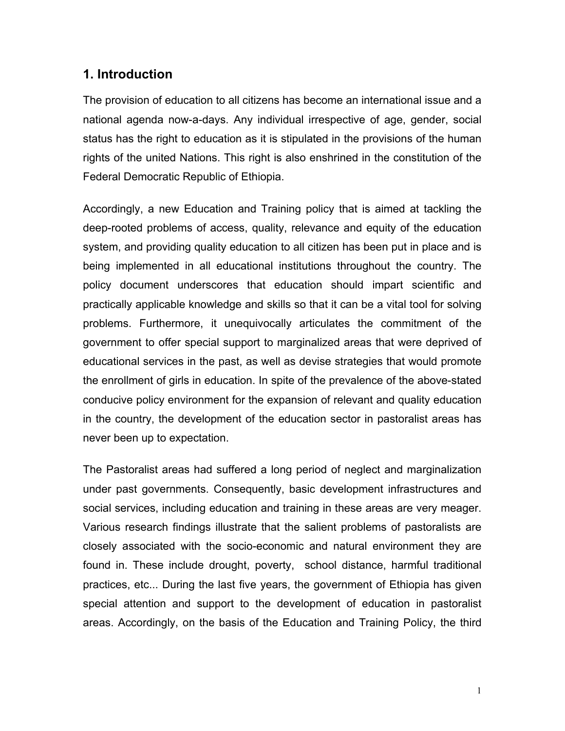### **1. Introduction**

The provision of education to all citizens has become an international issue and a national agenda now-a-days. Any individual irrespective of age, gender, social status has the right to education as it is stipulated in the provisions of the human rights of the united Nations. This right is also enshrined in the constitution of the Federal Democratic Republic of Ethiopia.

Accordingly, a new Education and Training policy that is aimed at tackling the deep-rooted problems of access, quality, relevance and equity of the education system, and providing quality education to all citizen has been put in place and is being implemented in all educational institutions throughout the country. The policy document underscores that education should impart scientific and practically applicable knowledge and skills so that it can be a vital tool for solving problems. Furthermore, it unequivocally articulates the commitment of the government to offer special support to marginalized areas that were deprived of educational services in the past, as well as devise strategies that would promote the enrollment of girls in education. In spite of the prevalence of the above-stated conducive policy environment for the expansion of relevant and quality education in the country, the development of the education sector in pastoralist areas has never been up to expectation.

The Pastoralist areas had suffered a long period of neglect and marginalization under past governments. Consequently, basic development infrastructures and social services, including education and training in these areas are very meager. Various research findings illustrate that the salient problems of pastoralists are closely associated with the socio-economic and natural environment they are found in. These include drought, poverty, school distance, harmful traditional practices, etc... During the last five years, the government of Ethiopia has given special attention and support to the development of education in pastoralist areas. Accordingly, on the basis of the Education and Training Policy, the third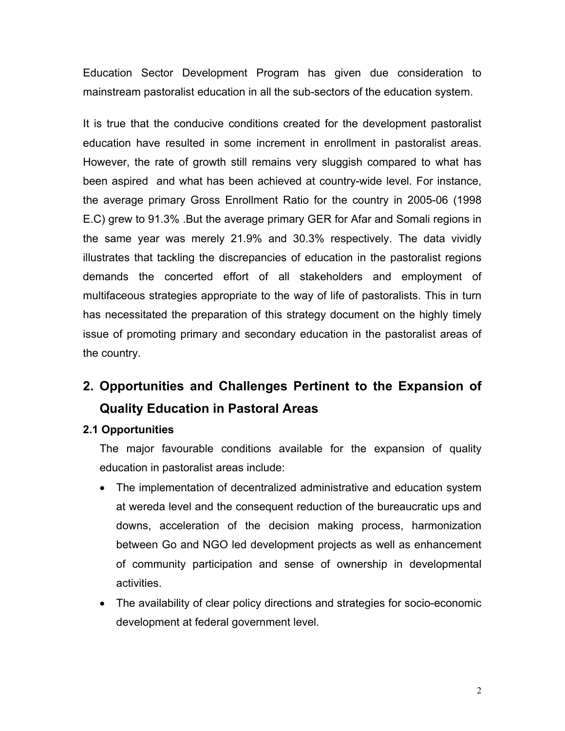Education Sector Development Program has given due consideration to mainstream pastoralist education in all the sub-sectors of the education system.

It is true that the conducive conditions created for the development pastoralist education have resulted in some increment in enrollment in pastoralist areas. However, the rate of growth still remains very sluggish compared to what has been aspired and what has been achieved at country-wide level. For instance, the average primary Gross Enrollment Ratio for the country in 2005-06 (1998 E.C) grew to 91.3% .But the average primary GER for Afar and Somali regions in the same year was merely 21.9% and 30.3% respectively. The data vividly illustrates that tackling the discrepancies of education in the pastoralist regions demands the concerted effort of all stakeholders and employment of multifaceous strategies appropriate to the way of life of pastoralists. This in turn has necessitated the preparation of this strategy document on the highly timely issue of promoting primary and secondary education in the pastoralist areas of the country.

# **2. Opportunities and Challenges Pertinent to the Expansion of Quality Education in Pastoral Areas**

#### **2.1 Opportunities**

The major favourable conditions available for the expansion of quality education in pastoralist areas include:

- The implementation of decentralized administrative and education system at wereda level and the consequent reduction of the bureaucratic ups and downs, acceleration of the decision making process, harmonization between Go and NGO led development projects as well as enhancement of community participation and sense of ownership in developmental activities.
- The availability of clear policy directions and strategies for socio-economic development at federal government level.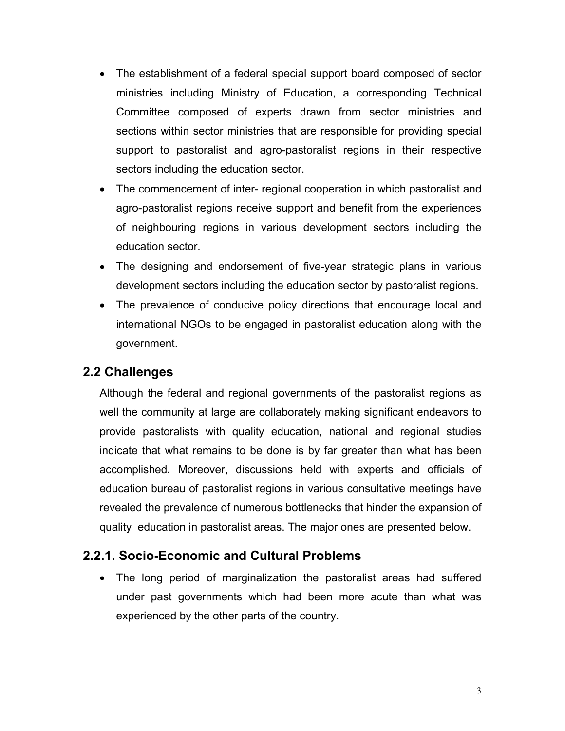- The establishment of a federal special support board composed of sector ministries including Ministry of Education, a corresponding Technical Committee composed of experts drawn from sector ministries and sections within sector ministries that are responsible for providing special support to pastoralist and agro-pastoralist regions in their respective sectors including the education sector.
- The commencement of inter- regional cooperation in which pastoralist and agro-pastoralist regions receive support and benefit from the experiences of neighbouring regions in various development sectors including the education sector.
- The designing and endorsement of five-year strategic plans in various development sectors including the education sector by pastoralist regions.
- The prevalence of conducive policy directions that encourage local and international NGOs to be engaged in pastoralist education along with the government.

# **2.2 Challenges**

Although the federal and regional governments of the pastoralist regions as well the community at large are collaborately making significant endeavors to provide pastoralists with quality education, national and regional studies indicate that what remains to be done is by far greater than what has been accomplished**.** Moreover, discussions held with experts and officials of education bureau of pastoralist regions in various consultative meetings have revealed the prevalence of numerous bottlenecks that hinder the expansion of quality education in pastoralist areas. The major ones are presented below.

# **2.2.1. Socio-Economic and Cultural Problems**

• The long period of marginalization the pastoralist areas had suffered under past governments which had been more acute than what was experienced by the other parts of the country.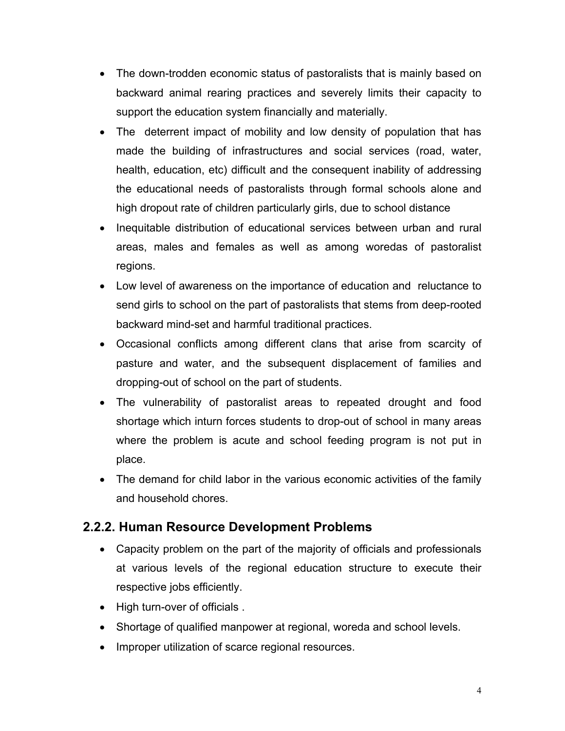- The down-trodden economic status of pastoralists that is mainly based on backward animal rearing practices and severely limits their capacity to support the education system financially and materially.
- The deterrent impact of mobility and low density of population that has made the building of infrastructures and social services (road, water, health, education, etc) difficult and the consequent inability of addressing the educational needs of pastoralists through formal schools alone and high dropout rate of children particularly girls, due to school distance
- Inequitable distribution of educational services between urban and rural areas, males and females as well as among woredas of pastoralist regions.
- Low level of awareness on the importance of education and reluctance to send girls to school on the part of pastoralists that stems from deep-rooted backward mind-set and harmful traditional practices.
- Occasional conflicts among different clans that arise from scarcity of pasture and water, and the subsequent displacement of families and dropping-out of school on the part of students.
- The vulnerability of pastoralist areas to repeated drought and food shortage which inturn forces students to drop-out of school in many areas where the problem is acute and school feeding program is not put in place.
- The demand for child labor in the various economic activities of the family and household chores.

# **2.2.2. Human Resource Development Problems**

- Capacity problem on the part of the majority of officials and professionals at various levels of the regional education structure to execute their respective jobs efficiently.
- High turn-over of officials .
- Shortage of qualified manpower at regional, woreda and school levels.
- Improper utilization of scarce regional resources.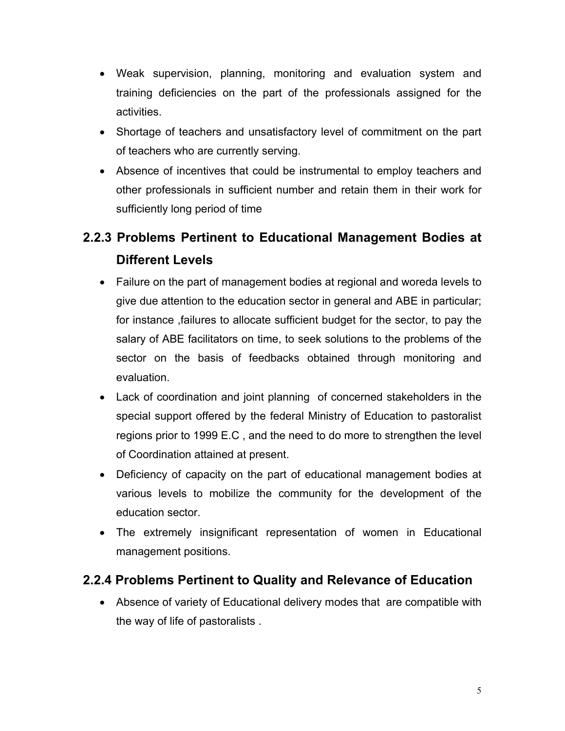- Weak supervision, planning, monitoring and evaluation system and training deficiencies on the part of the professionals assigned for the activities.
- Shortage of teachers and unsatisfactory level of commitment on the part of teachers who are currently serving.
- Absence of incentives that could be instrumental to employ teachers and other professionals in sufficient number and retain them in their work for sufficiently long period of time

# **2.2.3 Problems Pertinent to Educational Management Bodies at Different Levels**

- Failure on the part of management bodies at regional and woreda levels to give due attention to the education sector in general and ABE in particular; for instance ,failures to allocate sufficient budget for the sector, to pay the salary of ABE facilitators on time, to seek solutions to the problems of the sector on the basis of feedbacks obtained through monitoring and evaluation.
- Lack of coordination and joint planning of concerned stakeholders in the special support offered by the federal Ministry of Education to pastoralist regions prior to 1999 E.C , and the need to do more to strengthen the level of Coordination attained at present.
- Deficiency of capacity on the part of educational management bodies at various levels to mobilize the community for the development of the education sector.
- The extremely insignificant representation of women in Educational management positions.

# **2.2.4 Problems Pertinent to Quality and Relevance of Education**

• Absence of variety of Educational delivery modes that are compatible with the way of life of pastoralists .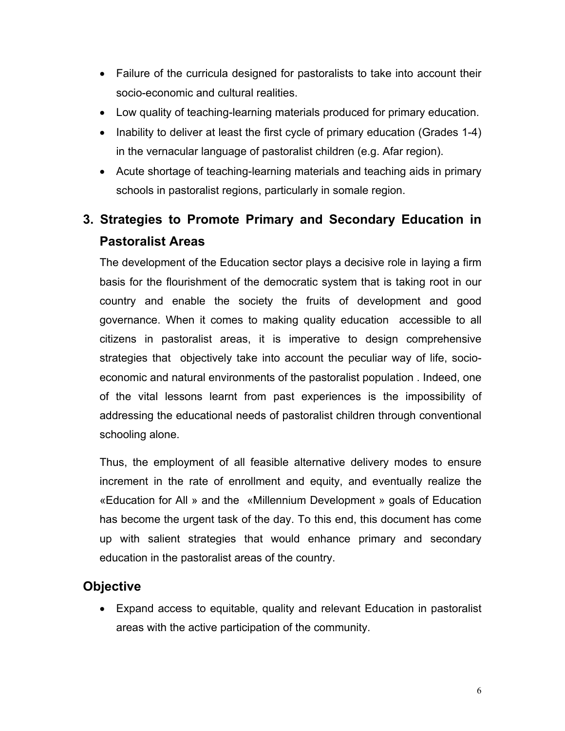- Failure of the curricula designed for pastoralists to take into account their socio-economic and cultural realities.
- Low quality of teaching-learning materials produced for primary education.
- Inability to deliver at least the first cycle of primary education (Grades 1-4) in the vernacular language of pastoralist children (e.g. Afar region).
- Acute shortage of teaching-learning materials and teaching aids in primary schools in pastoralist regions, particularly in somale region.

# **3. Strategies to Promote Primary and Secondary Education in Pastoralist Areas**

The development of the Education sector plays a decisive role in laying a firm basis for the flourishment of the democratic system that is taking root in our country and enable the society the fruits of development and good governance. When it comes to making quality education accessible to all citizens in pastoralist areas, it is imperative to design comprehensive strategies that objectively take into account the peculiar way of life, socioeconomic and natural environments of the pastoralist population . Indeed, one of the vital lessons learnt from past experiences is the impossibility of addressing the educational needs of pastoralist children through conventional schooling alone.

Thus, the employment of all feasible alternative delivery modes to ensure increment in the rate of enrollment and equity, and eventually realize the «Education for All » and the «Millennium Development » goals of Education has become the urgent task of the day. To this end, this document has come up with salient strategies that would enhance primary and secondary education in the pastoralist areas of the country.

# **Objective**

• Expand access to equitable, quality and relevant Education in pastoralist areas with the active participation of the community.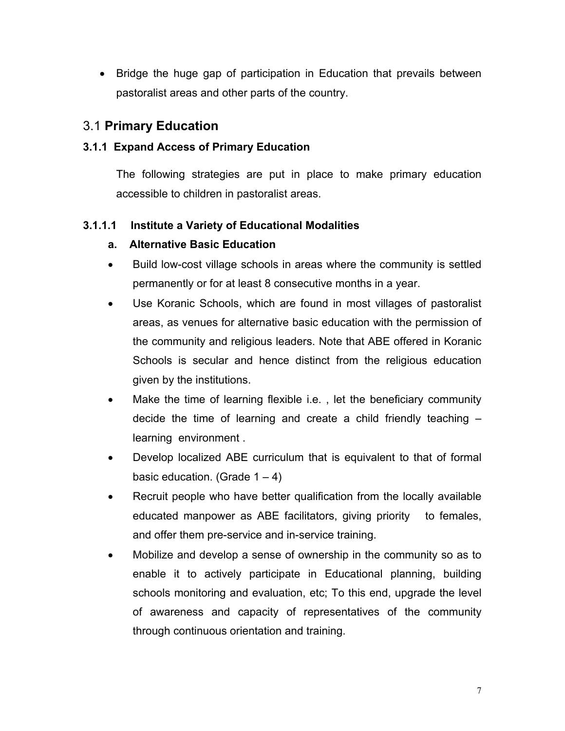• Bridge the huge gap of participation in Education that prevails between pastoralist areas and other parts of the country.

# 3.1 **Primary Education**

#### **3.1.1 Expand Access of Primary Education**

The following strategies are put in place to make primary education accessible to children in pastoralist areas.

### **3.1.1.1 Institute a Variety of Educational Modalities**

#### **a. Alternative Basic Education**

- Build low-cost village schools in areas where the community is settled permanently or for at least 8 consecutive months in a year.
- Use Koranic Schools, which are found in most villages of pastoralist areas, as venues for alternative basic education with the permission of the community and religious leaders. Note that ABE offered in Koranic Schools is secular and hence distinct from the religious education given by the institutions.
- Make the time of learning flexible i.e., let the beneficiary community decide the time of learning and create a child friendly teaching – learning environment .
- Develop localized ABE curriculum that is equivalent to that of formal basic education. (Grade  $1 - 4$ )
- Recruit people who have better qualification from the locally available educated manpower as ABE facilitators, giving priority to females, and offer them pre-service and in-service training.
- Mobilize and develop a sense of ownership in the community so as to enable it to actively participate in Educational planning, building schools monitoring and evaluation, etc; To this end, upgrade the level of awareness and capacity of representatives of the community through continuous orientation and training.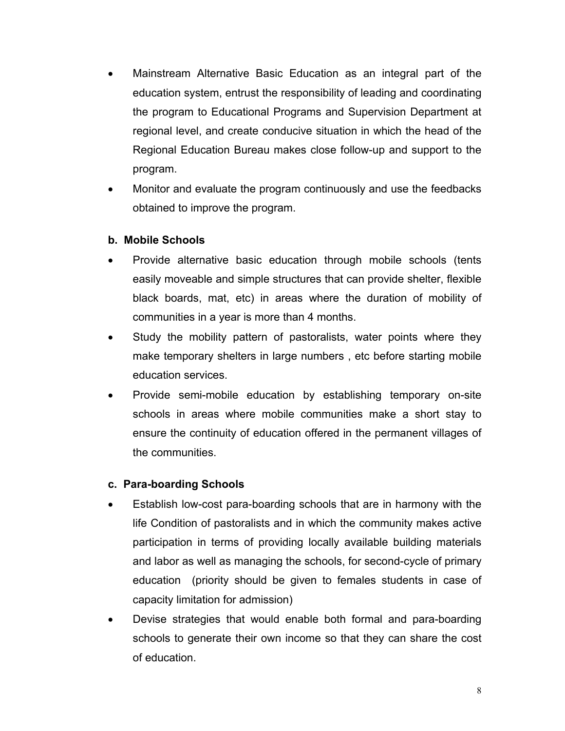- Mainstream Alternative Basic Education as an integral part of the education system, entrust the responsibility of leading and coordinating the program to Educational Programs and Supervision Department at regional level, and create conducive situation in which the head of the Regional Education Bureau makes close follow-up and support to the program.
- Monitor and evaluate the program continuously and use the feedbacks obtained to improve the program.

#### **b. Mobile Schools**

- Provide alternative basic education through mobile schools (tents easily moveable and simple structures that can provide shelter, flexible black boards, mat, etc) in areas where the duration of mobility of communities in a year is more than 4 months.
- Study the mobility pattern of pastoralists, water points where they make temporary shelters in large numbers , etc before starting mobile education services.
- Provide semi-mobile education by establishing temporary on-site schools in areas where mobile communities make a short stay to ensure the continuity of education offered in the permanent villages of the communities.

#### **c. Para-boarding Schools**

- Establish low-cost para-boarding schools that are in harmony with the life Condition of pastoralists and in which the community makes active participation in terms of providing locally available building materials and labor as well as managing the schools, for second-cycle of primary education (priority should be given to females students in case of capacity limitation for admission)
- Devise strategies that would enable both formal and para-boarding schools to generate their own income so that they can share the cost of education.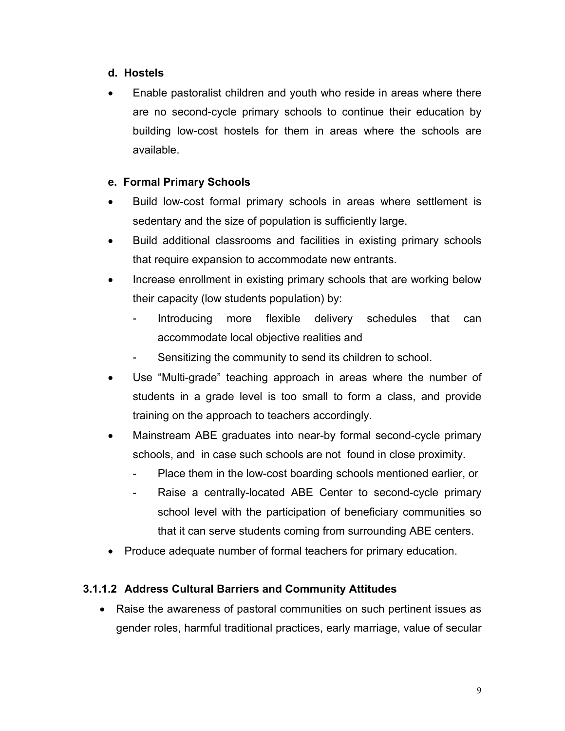#### **d. Hostels**

• Enable pastoralist children and youth who reside in areas where there are no second-cycle primary schools to continue their education by building low-cost hostels for them in areas where the schools are available.

### **e. Formal Primary Schools**

- Build low-cost formal primary schools in areas where settlement is sedentary and the size of population is sufficiently large.
- Build additional classrooms and facilities in existing primary schools that require expansion to accommodate new entrants.
- Increase enrollment in existing primary schools that are working below their capacity (low students population) by:
	- Introducing more flexible delivery schedules that can accommodate local objective realities and
	- Sensitizing the community to send its children to school.
- Use "Multi-grade" teaching approach in areas where the number of students in a grade level is too small to form a class, and provide training on the approach to teachers accordingly.
- Mainstream ABE graduates into near-by formal second-cycle primary schools, and in case such schools are not found in close proximity.
	- Place them in the low-cost boarding schools mentioned earlier, or
	- Raise a centrally-located ABE Center to second-cycle primary school level with the participation of beneficiary communities so that it can serve students coming from surrounding ABE centers.
- Produce adequate number of formal teachers for primary education.

# **3.1.1.2 Address Cultural Barriers and Community Attitudes**

• Raise the awareness of pastoral communities on such pertinent issues as gender roles, harmful traditional practices, early marriage, value of secular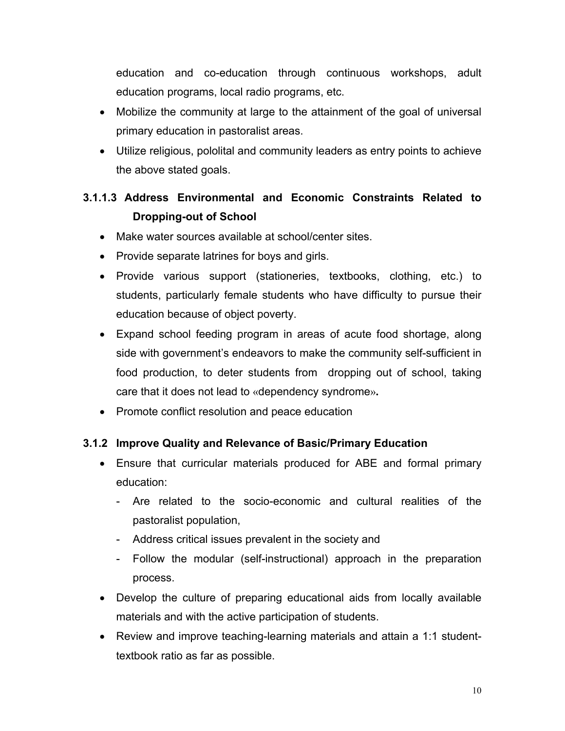education and co-education through continuous workshops, adult education programs, local radio programs, etc.

- Mobilize the community at large to the attainment of the goal of universal primary education in pastoralist areas.
- Utilize religious, pololital and community leaders as entry points to achieve the above stated goals.

# **3.1.1.3 Address Environmental and Economic Constraints Related to Dropping-out of School**

- Make water sources available at school/center sites.
- Provide separate latrines for boys and girls.
- Provide various support (stationeries, textbooks, clothing, etc.) to students, particularly female students who have difficulty to pursue their education because of object poverty.
- Expand school feeding program in areas of acute food shortage, along side with government's endeavors to make the community self-sufficient in food production, to deter students from dropping out of school, taking care that it does not lead to «dependency syndrome».
- Promote conflict resolution and peace education

### **3.1.2 Improve Quality and Relevance of Basic/Primary Education**

- Ensure that curricular materials produced for ABE and formal primary education:
	- Are related to the socio-economic and cultural realities of the pastoralist population,
	- Address critical issues prevalent in the society and
	- Follow the modular (self-instructional) approach in the preparation process.
- Develop the culture of preparing educational aids from locally available materials and with the active participation of students.
- Review and improve teaching-learning materials and attain a 1:1 studenttextbook ratio as far as possible.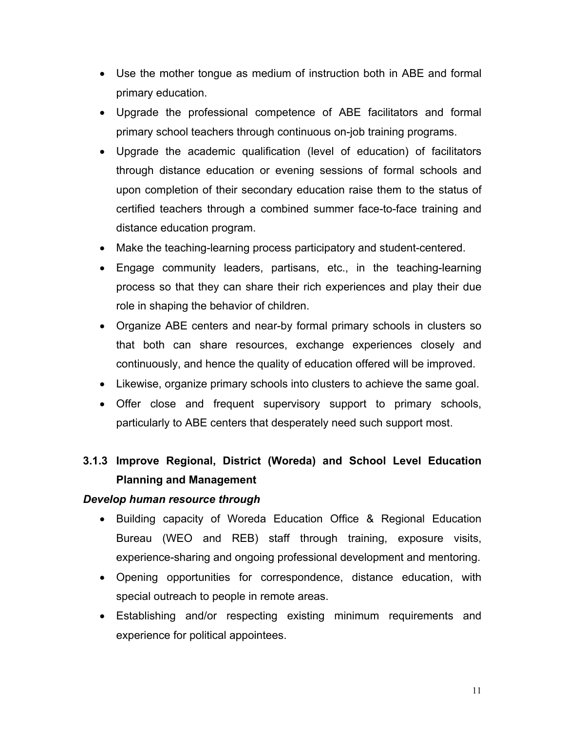- Use the mother tongue as medium of instruction both in ABE and formal primary education.
- Upgrade the professional competence of ABE facilitators and formal primary school teachers through continuous on-job training programs.
- Upgrade the academic qualification (level of education) of facilitators through distance education or evening sessions of formal schools and upon completion of their secondary education raise them to the status of certified teachers through a combined summer face-to-face training and distance education program.
- Make the teaching-learning process participatory and student-centered.
- Engage community leaders, partisans, etc., in the teaching-learning process so that they can share their rich experiences and play their due role in shaping the behavior of children.
- Organize ABE centers and near-by formal primary schools in clusters so that both can share resources, exchange experiences closely and continuously, and hence the quality of education offered will be improved.
- Likewise, organize primary schools into clusters to achieve the same goal.
- Offer close and frequent supervisory support to primary schools, particularly to ABE centers that desperately need such support most.

# **3.1.3 Improve Regional, District (Woreda) and School Level Education Planning and Management**

#### *Develop human resource through*

- Building capacity of Woreda Education Office & Regional Education Bureau (WEO and REB) staff through training, exposure visits, experience-sharing and ongoing professional development and mentoring.
- Opening opportunities for correspondence, distance education, with special outreach to people in remote areas.
- Establishing and/or respecting existing minimum requirements and experience for political appointees.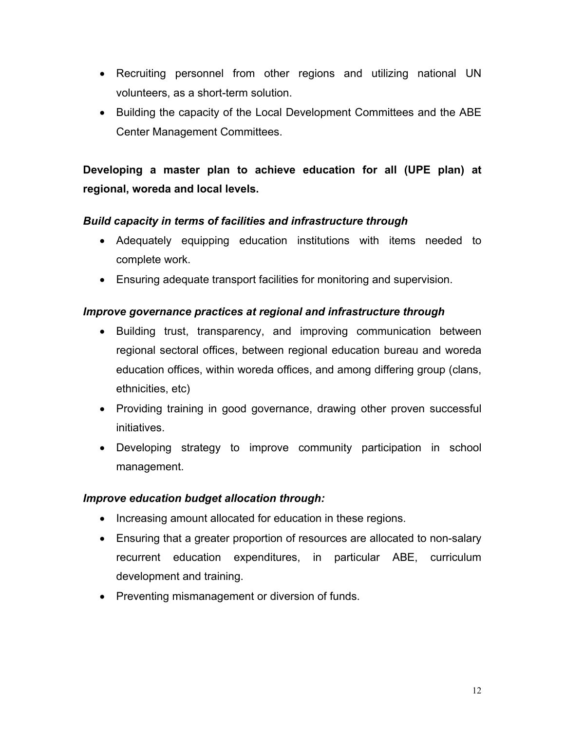- Recruiting personnel from other regions and utilizing national UN volunteers, as a short-term solution.
- Building the capacity of the Local Development Committees and the ABE Center Management Committees.

# **Developing a master plan to achieve education for all (UPE plan) at regional, woreda and local levels.**

#### *Build capacity in terms of facilities and infrastructure through*

- Adequately equipping education institutions with items needed to complete work.
- Ensuring adequate transport facilities for monitoring and supervision.

#### *Improve governance practices at regional and infrastructure through*

- Building trust, transparency, and improving communication between regional sectoral offices, between regional education bureau and woreda education offices, within woreda offices, and among differing group (clans, ethnicities, etc)
- Providing training in good governance, drawing other proven successful initiatives.
- Developing strategy to improve community participation in school management.

#### *Improve education budget allocation through:*

- Increasing amount allocated for education in these regions.
- Ensuring that a greater proportion of resources are allocated to non-salary recurrent education expenditures, in particular ABE, curriculum development and training.
- Preventing mismanagement or diversion of funds.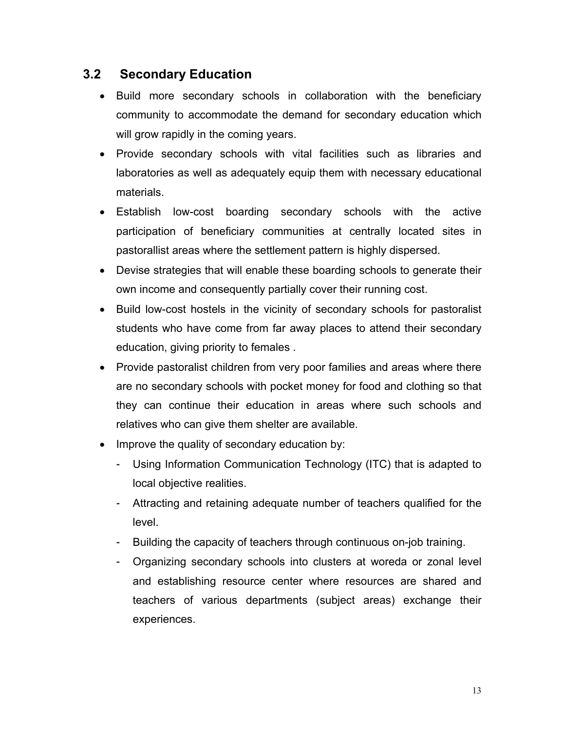### **3.2 Secondary Education**

- Build more secondary schools in collaboration with the beneficiary community to accommodate the demand for secondary education which will grow rapidly in the coming years.
- Provide secondary schools with vital facilities such as libraries and laboratories as well as adequately equip them with necessary educational materials.
- Establish low-cost boarding secondary schools with the active participation of beneficiary communities at centrally located sites in pastorallist areas where the settlement pattern is highly dispersed.
- Devise strategies that will enable these boarding schools to generate their own income and consequently partially cover their running cost.
- Build low-cost hostels in the vicinity of secondary schools for pastoralist students who have come from far away places to attend their secondary education, giving priority to females .
- Provide pastoralist children from very poor families and areas where there are no secondary schools with pocket money for food and clothing so that they can continue their education in areas where such schools and relatives who can give them shelter are available.
- Improve the quality of secondary education by:
	- Using Information Communication Technology (ITC) that is adapted to local objective realities.
	- Attracting and retaining adequate number of teachers qualified for the level.
	- Building the capacity of teachers through continuous on-job training.
	- Organizing secondary schools into clusters at woreda or zonal level and establishing resource center where resources are shared and teachers of various departments (subject areas) exchange their experiences.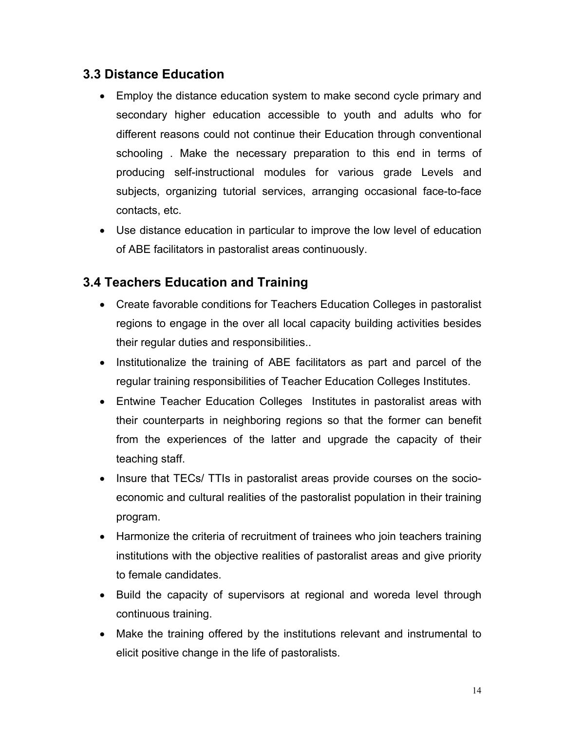# **3.3 Distance Education**

- Employ the distance education system to make second cycle primary and secondary higher education accessible to youth and adults who for different reasons could not continue their Education through conventional schooling . Make the necessary preparation to this end in terms of producing self-instructional modules for various grade Levels and subjects, organizing tutorial services, arranging occasional face-to-face contacts, etc.
- Use distance education in particular to improve the low level of education of ABE facilitators in pastoralist areas continuously.

# **3.4 Teachers Education and Training**

- Create favorable conditions for Teachers Education Colleges in pastoralist regions to engage in the over all local capacity building activities besides their regular duties and responsibilities..
- Institutionalize the training of ABE facilitators as part and parcel of the regular training responsibilities of Teacher Education Colleges Institutes.
- Entwine Teacher Education Colleges Institutes in pastoralist areas with their counterparts in neighboring regions so that the former can benefit from the experiences of the latter and upgrade the capacity of their teaching staff.
- Insure that TECs/ TTIs in pastoralist areas provide courses on the socioeconomic and cultural realities of the pastoralist population in their training program.
- Harmonize the criteria of recruitment of trainees who join teachers training institutions with the objective realities of pastoralist areas and give priority to female candidates.
- Build the capacity of supervisors at regional and woreda level through continuous training.
- Make the training offered by the institutions relevant and instrumental to elicit positive change in the life of pastoralists.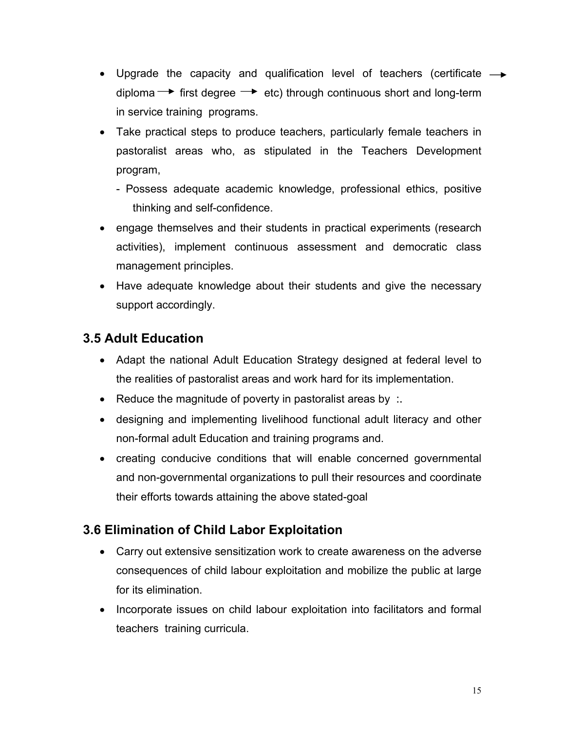- Upgrade the capacity and qualification level of teachers (certificate  $\rightarrow$ diploma  $\rightarrow$  first degree  $\rightarrow$  etc) through continuous short and long-term in service training programs.
- Take practical steps to produce teachers, particularly female teachers in pastoralist areas who, as stipulated in the Teachers Development program,
	- Possess adequate academic knowledge, professional ethics, positive thinking and self-confidence.
- engage themselves and their students in practical experiments (research activities), implement continuous assessment and democratic class management principles.
- Have adequate knowledge about their students and give the necessary support accordingly.

# **3.5 Adult Education**

- Adapt the national Adult Education Strategy designed at federal level to the realities of pastoralist areas and work hard for its implementation.
- Reduce the magnitude of poverty in pastoralist areas by :.
- designing and implementing livelihood functional adult literacy and other non-formal adult Education and training programs and.
- creating conducive conditions that will enable concerned governmental and non-governmental organizations to pull their resources and coordinate their efforts towards attaining the above stated-goal

# **3.6 Elimination of Child Labor Exploitation**

- Carry out extensive sensitization work to create awareness on the adverse consequences of child labour exploitation and mobilize the public at large for its elimination.
- Incorporate issues on child labour exploitation into facilitators and formal teachers training curricula.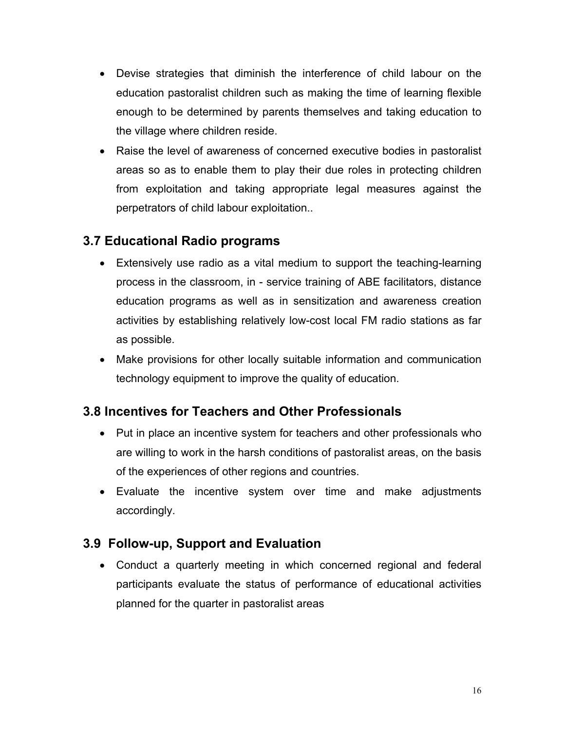- Devise strategies that diminish the interference of child labour on the education pastoralist children such as making the time of learning flexible enough to be determined by parents themselves and taking education to the village where children reside.
- Raise the level of awareness of concerned executive bodies in pastoralist areas so as to enable them to play their due roles in protecting children from exploitation and taking appropriate legal measures against the perpetrators of child labour exploitation..

# **3.7 Educational Radio programs**

- Extensively use radio as a vital medium to support the teaching-learning process in the classroom, in - service training of ABE facilitators, distance education programs as well as in sensitization and awareness creation activities by establishing relatively low-cost local FM radio stations as far as possible.
- Make provisions for other locally suitable information and communication technology equipment to improve the quality of education.

# **3.8 Incentives for Teachers and Other Professionals**

- Put in place an incentive system for teachers and other professionals who are willing to work in the harsh conditions of pastoralist areas, on the basis of the experiences of other regions and countries.
- Evaluate the incentive system over time and make adjustments accordingly.

# **3.9 Follow-up, Support and Evaluation**

• Conduct a quarterly meeting in which concerned regional and federal participants evaluate the status of performance of educational activities planned for the quarter in pastoralist areas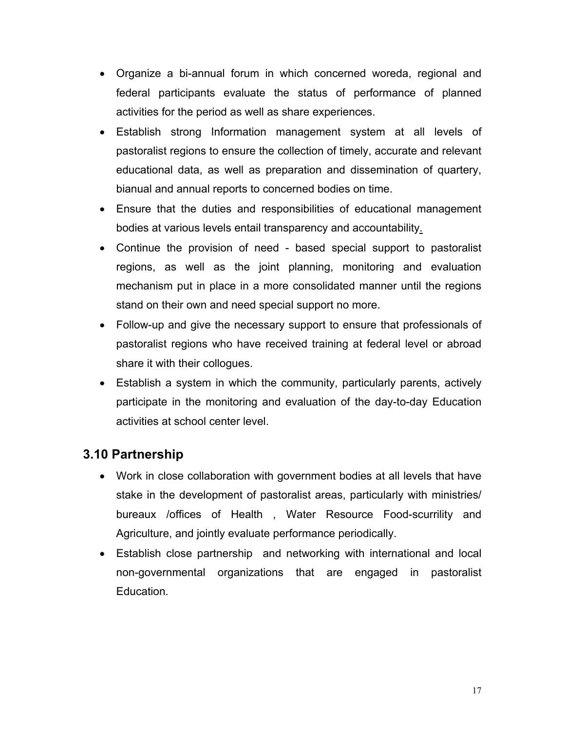- Organize a bi-annual forum in which concerned woreda, regional and federal participants evaluate the status of performance of planned activities for the period as well as share experiences.
- Establish strong Information management system at all levels of pastoralist regions to ensure the collection of timely, accurate and relevant educational data, as well as preparation and dissemination of quartery, bianual and annual reports to concerned bodies on time.
- Ensure that the duties and responsibilities of educational management bodies at various levels entail transparency and accountability.
- Continue the provision of need based special support to pastoralist regions, as well as the joint planning, monitoring and evaluation mechanism put in place in a more consolidated manner until the regions stand on their own and need special support no more.
- Follow-up and give the necessary support to ensure that professionals of pastoralist regions who have received training at federal level or abroad share it with their collogues.
- Establish a system in which the community, particularly parents, actively participate in the monitoring and evaluation of the day-to-day Education activities at school center level.

# **3.10 Partnership**

- Work in close collaboration with government bodies at all levels that have stake in the development of pastoralist areas, particularly with ministries/ bureaux /offices of Health , Water Resource Food-scurrility and Agriculture, and jointly evaluate performance periodically.
- Establish close partnership and networking with international and local non-governmental organizations that are engaged in pastoralist Education.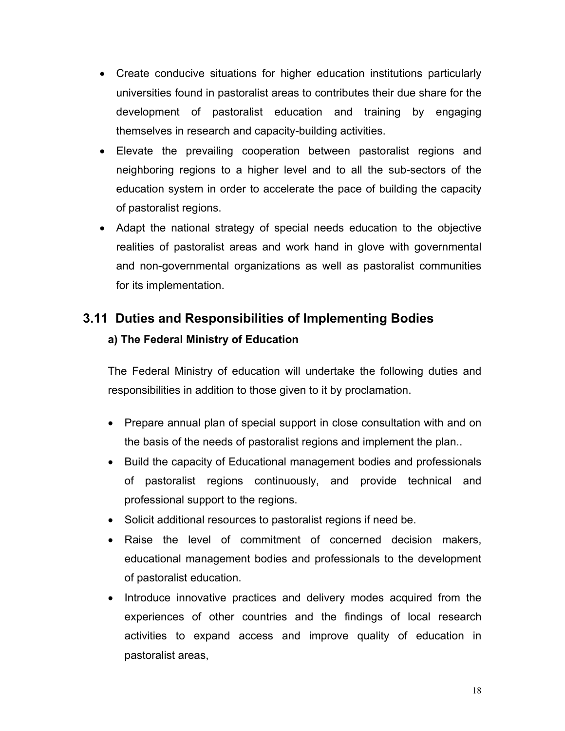- Create conducive situations for higher education institutions particularly universities found in pastoralist areas to contributes their due share for the development of pastoralist education and training by engaging themselves in research and capacity-building activities.
- Elevate the prevailing cooperation between pastoralist regions and neighboring regions to a higher level and to all the sub-sectors of the education system in order to accelerate the pace of building the capacity of pastoralist regions.
- Adapt the national strategy of special needs education to the objective realities of pastoralist areas and work hand in glove with governmental and non-governmental organizations as well as pastoralist communities for its implementation.

# **3.11 Duties and Responsibilities of Implementing Bodies**

### **a) The Federal Ministry of Education**

The Federal Ministry of education will undertake the following duties and responsibilities in addition to those given to it by proclamation.

- Prepare annual plan of special support in close consultation with and on the basis of the needs of pastoralist regions and implement the plan..
- Build the capacity of Educational management bodies and professionals of pastoralist regions continuously, and provide technical and professional support to the regions.
- Solicit additional resources to pastoralist regions if need be.
- Raise the level of commitment of concerned decision makers, educational management bodies and professionals to the development of pastoralist education.
- Introduce innovative practices and delivery modes acquired from the experiences of other countries and the findings of local research activities to expand access and improve quality of education in pastoralist areas,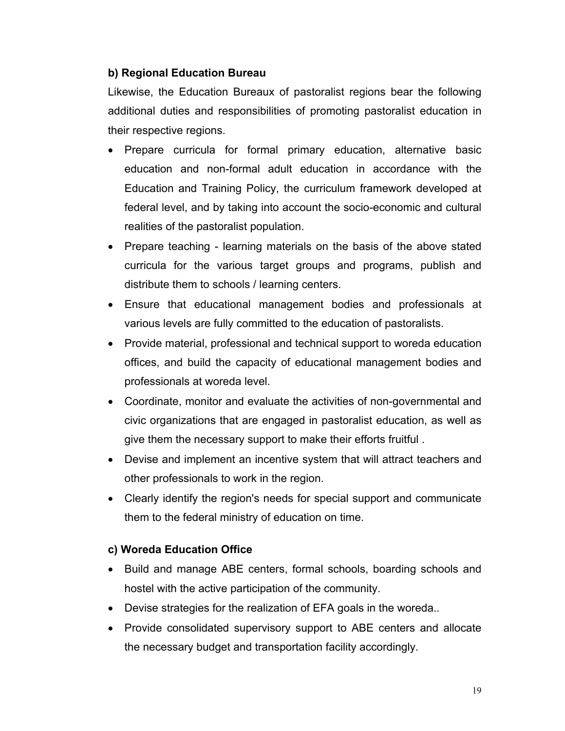#### **b) Regional Education Bureau**

Likewise, the Education Bureaux of pastoralist regions bear the following additional duties and responsibilities of promoting pastoralist education in their respective regions.

- Prepare curricula for formal primary education, alternative basic education and non-formal adult education in accordance with the Education and Training Policy, the curriculum framework developed at federal level, and by taking into account the socio-economic and cultural realities of the pastoralist population.
- Prepare teaching learning materials on the basis of the above stated curricula for the various target groups and programs, publish and distribute them to schools / learning centers.
- Ensure that educational management bodies and professionals at various levels are fully committed to the education of pastoralists.
- Provide material, professional and technical support to woreda education offices, and build the capacity of educational management bodies and professionals at woreda level.
- Coordinate, monitor and evaluate the activities of non-governmental and civic organizations that are engaged in pastoralist education, as well as give them the necessary support to make their efforts fruitful .
- Devise and implement an incentive system that will attract teachers and other professionals to work in the region.
- Clearly identify the region's needs for special support and communicate them to the federal ministry of education on time.

#### **c) Woreda Education Office**

- Build and manage ABE centers, formal schools, boarding schools and hostel with the active participation of the community.
- Devise strategies for the realization of EFA goals in the woreda..
- Provide consolidated supervisory support to ABE centers and allocate the necessary budget and transportation facility accordingly.